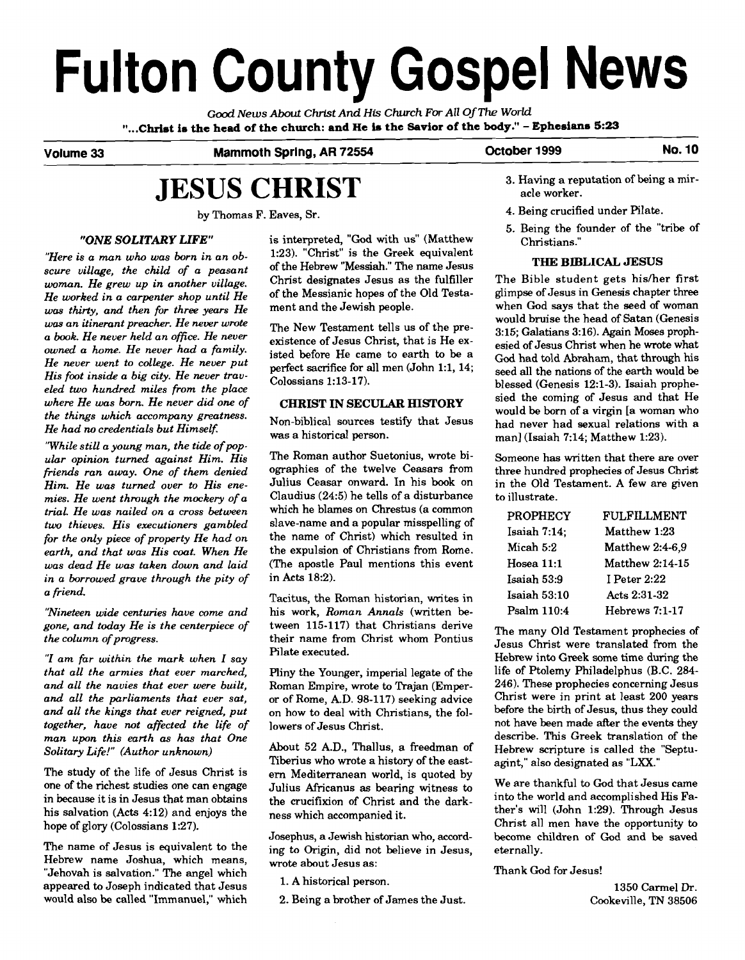# **Fulton County Gospel News**

Good *News* **About** *Christ And* **His** *Church For* **All Of The World**  "...Christ is the head of the church: and He is the Savior of the body." - Ephesians 5:23

### Volume 33 Mammoth Spring, AR 72554 **October 1999** No. 10

## **JESUS CHRIST**

by Thomas F. Eaves, Sr.

### *"ONE SOLITARY LIFE"*

*"Here is a man who was born in an obscure village, the child of a peasant woman. He grew up in another village. He worked in a carpenter shop until He was thirty, and then for three years He was an itinemnt preacher. He never wrote*   $a$  book. He never held an office. He never *owned a home. He never had a family. He never went to college. He never put His foot inside a big city. He never traveled two hundred miles from the place where He was born. He never did one of the things which accompany greatness. He had no credentials but Himself:* 

*"While still a young man, the tide of popular opinion turned against Him. His friends ran away. One of them denied Him. He was turned over to His enemies. He went through the mockery of a trial. He was nailed on a cross between two thieves. His executioners gambled for the only piece of property He had on earth, and that was His coat. When He was dead He was taken down and laid in a borrowed grave through the pity of a friend.* 

*"Nineteen wide centuries have come and*  gone, and today He is the centerpiece of *the column of progress.* 

*"I am far within the mark when I say that all the armies that ever marched, and all the navies that ever were built, and all the parliaments that ever sat, and all the kings that ever reigned, put together, have not affected the life of man upon this earth as has that One Solitary Life!" (Author unknown)* 

The study of the life of Jesus Christ is one of the richest studies one can engage in because it is in Jesus that man obtains his salvation (Acts 4:12) and enjoys the hope of glory (Colossians 1:27).

The name of Jesus is equivalent to the Hebrew name Joshua, which means, "Jehovah is salvation." The angel which appeared to Joseph indicated that Jesus would also be called "Immanuel," which is interpreted, "God with us" (Matthew 1:23). "Christ" is the Greek equivalent of the Hebrew "Messiah." The name Jesus Christ designates Jesus as the fulfiller of the Messianic hopes of the Old Testament and the Jewish people.

The New Testament tells us of the preexistence of Jesus Christ, that is He existed before He came to earth to be a perfect sacrifice for all men (John 1:1, 14; Colossians 1:13-17).

### **CHRIST IN SECULAR HISTORY**

Non-biblical sources testify that Jesus was a historical person.

The Roman author Suetonius, wrote biographies of the twelve Ceasars from Julius Ceasar onward. In his book on Claudius (24:5) he tells of a disturbance which he blames on Chrestus (a common slave-name and a popular misspelling of the name of Christ) which resulted in the expulsion of Christians from Rome. (The apostle Paul mentions this event in Acts 18:2).

Tacitus, the Roman historian, writes in his work, *Roman Annals* (written between 115-117) that Christians derive their name from Christ whom Pontius Pilate executed.

Pliny the Younger, imperial legate of the Roman Empire, wrote to Trajan (Emperor of Rome, A.D. 98-117) seeking advice on how to deal with Christians, the followers of Jesus Christ.

About 52 A.D., Thallus, a freedman of Tiberius who wrote a history of the eastem Mediterranean world, is quoted by Julius Africanus as bearing witness to the crucifixion of Christ and the darkness which accompanied it.

Josephus, a Jewish historian who, according to Origin, did not believe in Jesus, wrote about Jesus as:

- 1. A historical person.
- 2. Being a brother of James the Just.
- 3. Having a reputation of being a miracle worker.
- 4. Being crucified under Pilate.
- 5. Being the founder of the "tribe of Christians."

### **THE BIBLICAL JESUS**

The Bible student gets his/her first glimpse of Jesus in Genesis chapter three when God says that the seed of woman would bruise the head of Satan (Genesis 3:15; Galatians 3:16). Again Moses prophesied of Jesus Christ when he wrote what God had told Abraham, that through his seed all the nations of the earth would be blessed (Genesis 12:l-3). Isaiah prophesied the coming of Jesus and that He would be born of a virgin [a woman who had never had sexual relations with a man] (Isaiah 7:14; Matthew 1:23).

Someone has written that there are over three hundred prophecies of Jesus Christ in the Old Testament. A few are given to illustrate.

| <b>PROPHECY</b> | <b>FULFILLMENT</b> |
|-----------------|--------------------|
| Isaiah $7:14$ ; | Matthew 1:23       |
| Micah 5:2       | Matthew 2:4-6,9    |
| Hosea 11:1      | Matthew 2:14-15    |
| Isaiah 53:9     | I Peter $2:22$     |
| Isaiah 53:10    | Acts 2:31-32       |
| Psalm 110:4     | Hebrews 7:1-17     |

The many Old Testament prophecies of Jesus Christ were translated from the Hebrew into Greek some time during the life of Ptolemy Philadelphus (B.C. 284- 246). These prophecies concerning Jesus Christ were in print at least 200 years before the birth of Jesus, thus they could not have been made after the events they describe. This Greek translation of the Hebrew scripture is called the "Septuagint," also designated as **"LXX."** 

We are thankful to God that Jesus came into the world and accomplished His Father's will (John 1:29). Through Jesus Christ all men have the opportunity to become children of **God** and be saved eternally.

Thank God for Jesus!

1350 Carrnel Dr. Cookeville, TN 38506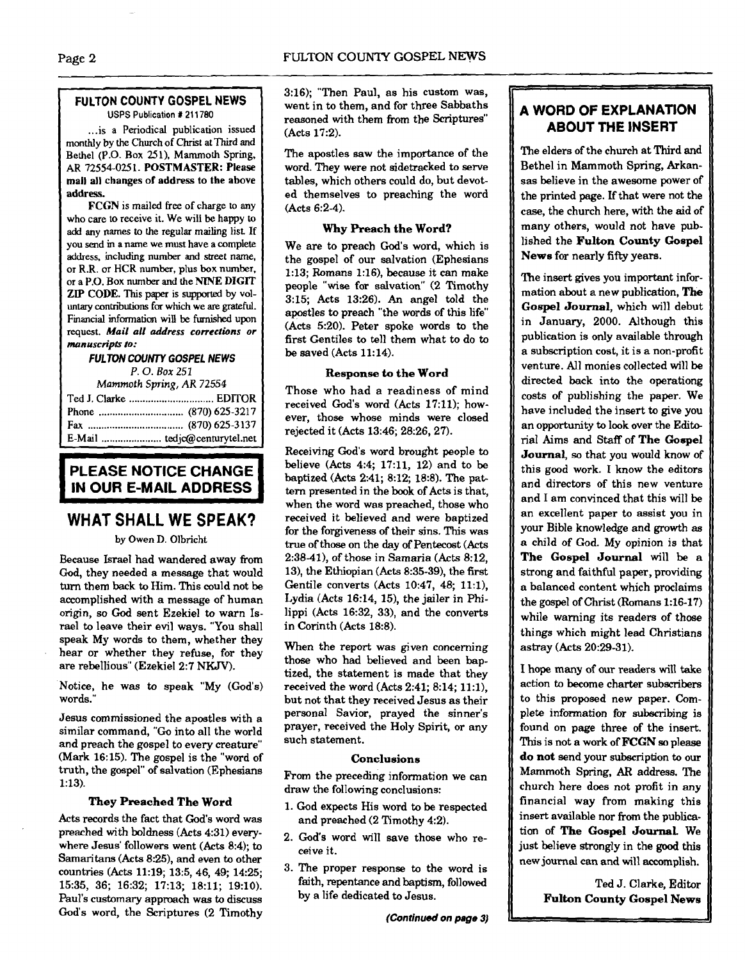### **FULTON COUNTY GOSPEL NEWS USPS Publication # 211780**

... is a Periodical publication issued monthly by the Church of Christ at Third and Bethel (P.O. Box 251), Mammoth Spring, **AR** 72554-025 1. POSTMASTER: Please mail all changes of address to the above address.

**FCGN** is mailed free of charge to any who care **to** receive it. We will be happy to add any **names** to the regular mailing list If you send in a name we must have a complete address, mcludmg number and **sweet** name, Or R.R Or HCR number? plus **box** number, or a P.O. Box number and the NINE DIGIT **ZIP CODE.** This paper is supported by voluntary contributions for which we are grateful. Financial information will be **furnished** upon request. *Mail all* address **corrections or**  manuscripts to:

### **FULTON COUNTY GOSPEL NEWS**

**P.** 0. *Box* **<sup>251</sup> Mammoth Spring, AR** 72554

### PLEASE NOTICE CHANGE IN OUR E-MAIL ADDRESS

Because Israel had wandered away from 2:38-41), of those in Samaria (Acts 8:12, God, they needed a message that would 13), the Ethiopian (Acts 8:35-39), the first rael to leave their evil ways. You shall in Corinth (Acts 18:8).<br>speak My words to them, whether they when the report was given concerning astray (Acts 20:29-31). hear or whether they refuse, for they are rebellious" (Ezekiel 2:7 NKJV). those who had believed and been bap-

similar command, "Go into all the world prayer, received the Holy Spirit, or any found on page three of the insert.<br>and preach the gospel to every creature" such statement. and preach the gospel to every creature" such statement.<br>(Mark 16:15). The gospel is the "word of **Conclusions Conclusions do not** send your subscription to our (Mark 16:15). The gospel is the "word of **Conclusions Conclusions do not** send your subscription to our truth, the gospel of salvation (Ephesians **From the preceding information we can** Mammoth Spring, AR address. The truth, the gospel of salvation (Ephesians **filter from the preceding information we can 1:13)**.

Acts records the fact that God's word was preached with boldness (Acts 4:31) every-<br>where Jesus' followers went (Acts 8:4); to ceive it. Samaritans (Acts 8:25), and even to other<br>countries (Acts 11:10: 12:5, 46, 40: 14:95, 3). The proper response to the word is countries (Acts 11:19; 13:5, 46, 49; 14:25;  $\frac{3}{16}$ . The proper response to the word is 15:35, 36; 16:39; 17:13; 19:11; 19:10) 15:35, 36; 16:32; 17:13; 18:11; 19:10). Faith, repentance and baptism, followed Ted J. Clarke, Editor<br>Paul's customary approach was to discuss by a life dedicated to Jesus. **Fulton County Gospel News** Paul's customary approach was to discuss. God's word, the Scriptures (2 Timothy **(Continued on page 3)** 

3:16); "Then Paul, as his custom was, went in to them, and for three Sabbaths reasoned with them from the Scriptures"  $(Acts 17:2)$ .

The apostles saw the importance of the word. They were not sidetracked to serve tables, which others could do, but devoted themselves to preaching the word  $(Acts 6:2-4).$ 

### **Why Preach the Word?**

We are to preach God's word, which is the gospel of our salvation (Ephesians 1:13; Romans 1:16), because it can make people "wise for salvation" (2 Timothy 3:15; Acts 13:26). An angel told the apostles to preach "the words of this life" (Acts 5:20). Peter spoke words to the first Gentiles to tell them what to do to be saved (Acts 11:14).

### **Response to the Word**

Those who had a readiness of mind<br>received God's word  $(Acts 17:11)$ : howreceived God's word (Acts  $17.11$ ), how-<br>ever, those whose minds were closed an opportunity to look over the Editorejected it (Acts 13:46; 28:26, 27).

Receiving God's word brought people to **Journal**, so that you would know of believe (Acts 4:4: 17:11, 12) and to be believe (Acts 4:4; 17:11, 12) and to be this good work. I know the editors baptized (Acts 2:41; 8:12; 18:8). The pat  $\begin{bmatrix}\n\text{binized (RCS Z.41, 6:12, 16:8)} \\
\text{bined to the book of Acts is that, 0.812, 1.812\n\end{bmatrix}\n\quad \text{and I am convinced that this will be$ when the word was preached, those who and I am convinced that this will be received it believed and were bentized **WHAT SHALL WE SPEAK?** received it believed and were baptized and the sextellent paper to assist you in for the forgiveness of their sins. This was your Bible knowledge and growth as for the forgiveness of their sins. This was<br>true of those on the day of Pentecost (Acts a child of God. My opinion is that<br>rael had wandered away from 2:38-41), of those in Samaria (Acts 8:12. The Gospel Journal will be a God, they needed a message that would 13), the Ethiopian (Acts 8:35-39), the first strong and faithful paper, providing<br>turn them back to Him. This could not be Gentile converts (Acts 10:47, 48; 11:1), a balanced content w turn them back to Him. This could not be Gentile converts (Acts 10:47, 48; 11:1), a balanced content which proclaims accomplished with a message of human Lydia (Acts 16:14, 15), the jailer in Phi-<br>accomplished with a mess accomplished with a message of human Lydia (Acts 16:14, 15), the jailer in Phi-<br>
origin, so God sent Ezekiel to warn Is-<br>
lippi (Acts 16:32, 33), and the converts<br>
lipping origin, so God sent Ezekiel to warn Isorigin, so God sent Ezekiel to warn Is- lippi (Acts 16:32, 33), and the converts while warning its readers of those rael to leave their evil ways. "You shall in Corinth (Acts 18:8).

tized, the statement is made that they<br>received the word  $(A_{\text{cts}} 2:41 \cdot 8:14 \cdot 11:1)$  action to become charter subscribers Notice, he was to speak "My  $(God's)$  received the word  $(Acts 2:41; 8:14; 11:1)$ , action to become charter subscribers but not that they received Jesus as their to this proposed new paper. Combut not that they received Jesus as their to this proposed new paper. Compersonal Savior, prayed the sinner's plete information for subscribing is Jesus commissioned the apostles with a personal Savior, prayed the sinner's plete information for subscribing is similar command "Co into all the world prayer, received the Holy Spirit, or any found on page three of the i

- 1. God expects His word to be respected and preached (2 Timothy 4:2).
- 
- 

### **A WORD OF EXPLANATION ABOUT THE INSERT**

The elders of the church at Third and Bethel in Mammoth Spring, Arkansas believe in the awesome power of the printed page. If that were not the case, the church here, with the aid of many others, would not have published the **Fulton News** for nearly fifty years.

The insert gives you important information about a new publication, **The Gospel Journal,** which will debut in January, 2000. Although this publication is only available through a subscription cost, it is a non-profit venture. All monies collected will be directed back into the operationg rial Aims and Staff of **The Gospel** 

draw the following conclusions:<br>
They Preached The Word<br>
1. Cod expects His word to be remarted financial way from making this tian of **The Gospel Journal.** We just believe strongly in the good this<br>new journal can and will accomplish.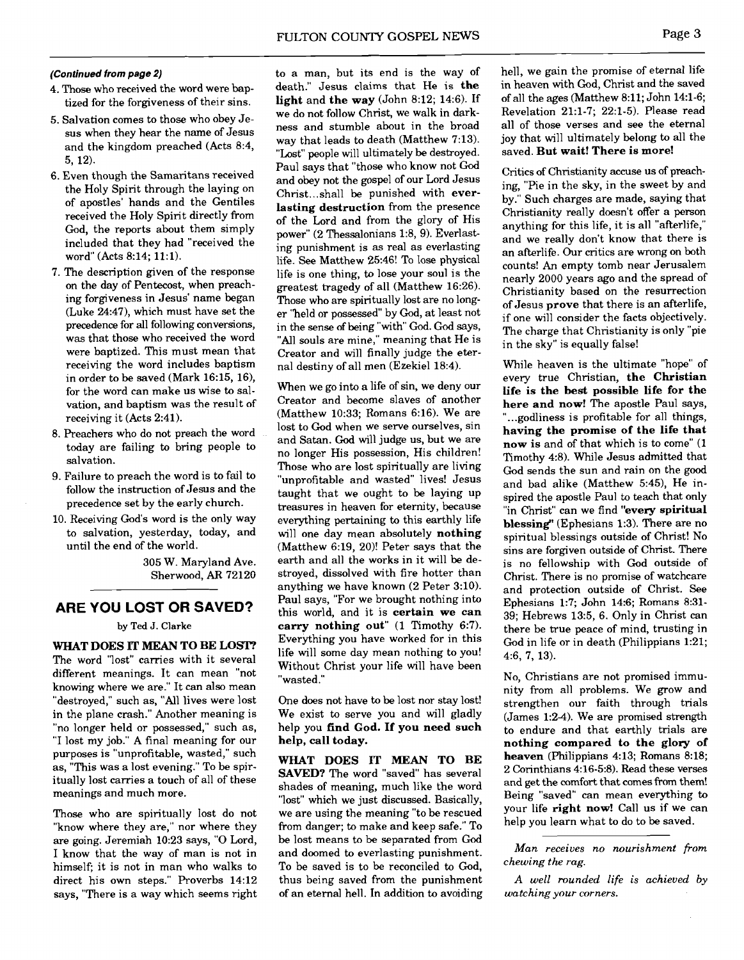### **(Continued from page 2)**

- 4. Those who received the word were baptized for the forgiveness of their sins.
- 5. Salvation comes to those who obey Jesus when they hear the name of Jesus and the kingdom preached (Acts 8:4, 5, 12).
- 6. Even though the Samaritans received the Holy Spirit through the laying on of apostles' hands and the Gentiles received the Holy Spirit directly from God, the reports about them simply included that they had "received the word" (Acts 8:14; 11:l).
- 7. The description given of the response on the day of Pentecost, when preaching forgiveness in Jesus' name began (Luke 24:47), which must have set the precedence for all following conversions, was that those who received the word were baptized. This must mean that receiving the word includes baptism in order to be saved (Mark 16:15, 16), for the word can make us wise to salvation, and baptism was the result of receiving it (Acts 2:41).
- 8. Preachers who do not preach the word today are failing to bring people to salvation.
- 9. Failure to preach the word is to fail to follow the instruction of Jesus and the precedence set by the early church.
- 10. Receiving God's word is the only way to salvation, yesterday, today, and until the end of the world.

305 W. Maryland Ave. Sherwood, **AR** 72120

### **ARE YOU LOST OR SAVED?**

### **by Ted J. Clarke**

**WHAT DOES IT MEAN TO BE LOST?**  The word "lost" carries with it several different meanings. It can mean "not knowing where we are." It can also mean "destroyed," such as, "All lives were lost in the plane crash." Another meaning is "no longer held or possessed," such as, "I lost my job." A final meaning for our purposes is "unprofitable, wasted," such as, "This was a lost evening." To be spiritually lost carries a touch of all of these meanings and much more.

Those who are spiritually lost do not "know where they are," nor where they are going. Jeremiah 10:23 says, "0 Lord, I know that the way of man is not in himself; it is not in man who walks to direct his own steps." Proverbs 14:12 says, "There is a way which seems right to a man, but its end is the way of death." Jesus claims that He is **the light** and **the way** (John 8:12; 14:6). If we do not follow Christ, we walk in darkness and stumble about in the broad way that leads to death (Matthew 7:13). "Lost" people will ultimately be destroyed. Paul says that "those who know not God and obey not the gospel of our Lord Jesus Christ.. . shall be punished with **everlasting destruction** from the presence of the Lord and from the glory of His power" (2 Thessalonians 1:8, 9). Everlasting punishment is as real as everlasting life. See Matthew 25:46! To lose physical life is one thing, to lose your soul is the greatest tragedy of all (Matthew 16:26). Those who are spiritually lost are no longer "held or possessed" by God, at least not in the sense of being "with" God. God says, "All souls are mine," meaning that He is Creator and will finally judge the eternal destiny of all men (Ezekiel 18:4).

When we go into a life of sin, we deny our Creator and become slaves of another (Matthew 10:33; Romans 6:16). We are lost to God when we serve ourselves, sin and Satan. **God** will judge us, but we are no longer His possession, His children! Those who are lost spiritually are living "unprofitable and wasted" lives! Jesus taught that we ought to be laying up treasures in heaven for eternity, because everything pertaining to this earthly life will one day mean absolutely **nothing**  (Matthew 6:19, 20)! Peter says that the earth and all the works in it will be destroyed, dissolved with fire hotter than anything we have known (2 Peter 3:lO). Paul says, "For we brought nothing into this world, and it is **certain we can carry nothing out"** (1 Timothy 6:7). Everything you have worked for in this life will some day mean nothing to you! Without Christ your life will have been "wasted."

One does not have to be lost nor stay lost! We exist to serve you and will gladly help you **find God. If you need such help, call today.** 

**WHAT DOES IT MEAN TO BE SAVED?** The word "saved" has several shades of meaning, much like the word "lost" which we just discussed. Basically, we are using the meaning "to be rescued from danger; to make and keep safe." To be lost means to be separated from God and doomed to everlasting punishment. To be saved is to be reconciled to God, thus being saved from the punishment of an eternal hell. In addition to avoiding hell, we gain the promise of eternal life in heaven with God, Christ and the saved of all the ages (Matthew 8:ll; John 14:l-6; Revelation 21:l-7; 22:l-5). Please read all of those verses and see the eternal joy that will ultimately belong to all the saved. **But wait! There is more!** 

Critics of Christianity accuse us of preaching, "Pie in the sky, in the sweet by and by." Such charges are made, saying that Christianity really doesn't offer a person anything for this life, it is all "afterlife," and we really don't know that there is an afterlife. Our critics are wrong on both counts! An empty tomb near Jerusalem nearly 2000 years ago and the spread of Christianity based on the resurrection of Jesus **prove** that there is an afterlife, if one will consider the facts objectively. The charge that Christianity is only "pie in the sky" is equally false!

While heaven is the ultimate "hope" of every true Christian, **the Christian life is the best possible life for the here and now!** The apostle Paul says, "...godliness is profitable for all things, **having the promise of the life that now is** and of that which is to come" (1 Timothy 4:8). While Jesus admitted that God sends the sun and rain on the good and bad alike (Matthew 5:45), He inspired the apostle Paul to teach that only "in Christ" can we find **"every spiritual blessing"** (Ephesians 1:3). There are no spiritual blessings outside of Christ! No sins are forgiven outside of Christ. There is no fellowship with God outside of Christ. There is no promise of watchcare and protection outside of Christ. See Ephesians 1:7; John 14:6; Romans 8:31-39; Hebrews 13:5, 6. Only in Christ can there be true peace of mind, trusting in God in life or in death (Philippians 1:21; 4:6, 7, 13).

No, Christians are not promised immunity from all problems. We grow and strengthen our faith through trials (James 1:24). We are promised strength to endure and that earthly trials are **nothing compared to the glory of heaven** (Philippians 4:13; Romans 8:18; 2 Corinthians 4:16-5:8). Read these verses and get the comfort that comes from them! Being "saved" can mean everything to your life **right now!** Call us if we can help you learn what to do to be saved.

*Man receives no nourishment from chewing the rag.* 

*A well rounded life is achieved by watching your corners.*